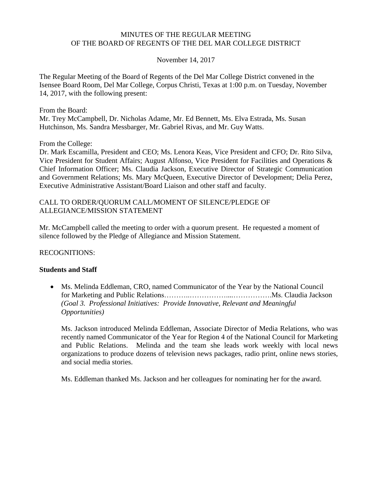#### MINUTES OF THE REGULAR MEETING OF THE BOARD OF REGENTS OF THE DEL MAR COLLEGE DISTRICT

#### November 14, 2017

The Regular Meeting of the Board of Regents of the Del Mar College District convened in the Isensee Board Room, Del Mar College, Corpus Christi, Texas at 1:00 p.m. on Tuesday, November 14, 2017, with the following present:

From the Board:

Mr. Trey McCampbell, Dr. Nicholas Adame, Mr. Ed Bennett, Ms. Elva Estrada, Ms. Susan Hutchinson, Ms. Sandra Messbarger, Mr. Gabriel Rivas, and Mr. Guy Watts.

From the College:

Dr. Mark Escamilla, President and CEO; Ms. Lenora Keas, Vice President and CFO; Dr. Rito Silva, Vice President for Student Affairs; August Alfonso, Vice President for Facilities and Operations & Chief Information Officer; Ms. Claudia Jackson, Executive Director of Strategic Communication and Government Relations; Ms. Mary McQueen, Executive Director of Development; Delia Perez, Executive Administrative Assistant/Board Liaison and other staff and faculty.

#### CALL TO ORDER/QUORUM CALL/MOMENT OF SILENCE/PLEDGE OF ALLEGIANCE/MISSION STATEMENT

Mr. McCampbell called the meeting to order with a quorum present. He requested a moment of silence followed by the Pledge of Allegiance and Mission Statement.

RECOGNITIONS:

#### **Students and Staff**

 Ms. Melinda Eddleman, CRO, named Communicator of the Year by the National Council for Marketing and Public Relations………..……………....…………….Ms. Claudia Jackson *(Goal 3. Professional Initiatives: Provide Innovative, Relevant and Meaningful Opportunities)*

Ms. Jackson introduced Melinda Eddleman, Associate Director of Media Relations, who was recently named Communicator of the Year for Region 4 of the National Council for Marketing and Public Relations. Melinda and the team she leads work weekly with local news organizations to produce dozens of television news packages, radio print, online news stories, and social media stories.

Ms. Eddleman thanked Ms. Jackson and her colleagues for nominating her for the award.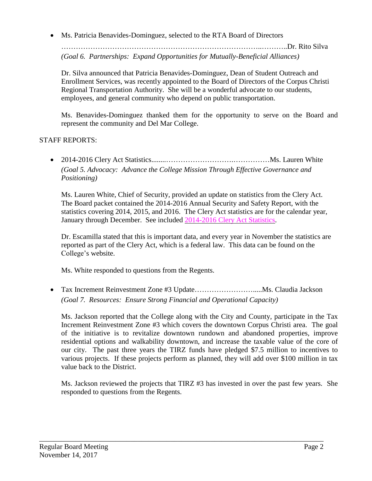Ms. Patricia Benavides-Dominguez, selected to the RTA Board of Directors

………………………………………………………………………..………..Dr. Rito Silva *(Goal 6. Partnerships: Expand Opportunities for Mutually-Beneficial Alliances)*

Dr. Silva announced that Patricia Benavides-Dominguez, Dean of Student Outreach and Enrollment Services, was recently appointed to the Board of Directors of the Corpus Christi Regional Transportation Authority. She will be a wonderful advocate to our students, employees, and general community who depend on public transportation.

Ms. Benavides-Dominguez thanked them for the opportunity to serve on the Board and represent the community and Del Mar College.

# STAFF REPORTS:

 2014-2016 Clery Act Statistics........……………………….……………Ms. Lauren White *(Goal 5. Advocacy: Advance the College Mission Through Effective Governance and Positioning)*

Ms. Lauren White, Chief of Security, provided an update on statistics from the Clery Act. The Board packet contained the 2014-2016 Annual Security and Safety Report, with the statistics covering 2014, 2015, and 2016. The Clery Act statistics are for the calendar year, January through December. See included [2014-2016](http://www.delmar.edu/WorkArea/DownloadAsset.aspx?id=2147486229) Clery Act Statistics.

Dr. Escamilla stated that this is important data, and every year in November the statistics are reported as part of the Clery Act, which is a federal law. This data can be found on the College's website.

Ms. White responded to questions from the Regents.

 Tax Increment Reinvestment Zone #3 Update…………………….....Ms. Claudia Jackson *(Goal 7. Resources: Ensure Strong Financial and Operational Capacity)*

Ms. Jackson reported that the College along with the City and County, participate in the Tax Increment Reinvestment Zone #3 which covers the downtown Corpus Christi area. The goal of the initiative is to revitalize downtown rundown and abandoned properties, improve residential options and walkability downtown, and increase the taxable value of the core of our city. The past three years the TIRZ funds have pledged \$7.5 million to incentives to various projects. If these projects perform as planned, they will add over \$100 million in tax value back to the District.

Ms. Jackson reviewed the projects that TIRZ #3 has invested in over the past few years. She responded to questions from the Regents.

\_\_\_\_\_\_\_\_\_\_\_\_\_\_\_\_\_\_\_\_\_\_\_\_\_\_\_\_\_\_\_\_\_\_\_\_\_\_\_\_\_\_\_\_\_\_\_\_\_\_\_\_\_\_\_\_\_\_\_\_\_\_\_\_\_\_\_\_\_\_\_\_\_\_\_\_\_\_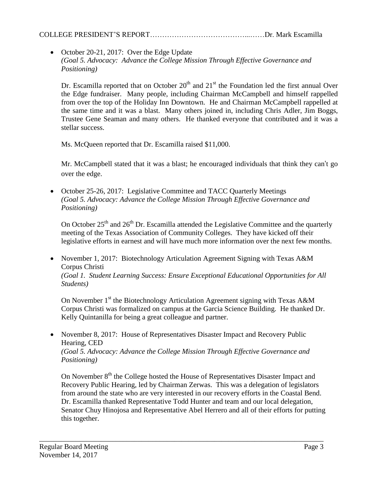# COLLEGE PRESIDENT'S REPORT…………………………………...……Dr. Mark Escamilla

• October 20-21, 2017: Over the Edge Update *(Goal 5. Advocacy: Advance the College Mission Through Effective Governance and Positioning)*

Dr. Escamilla reported that on October  $20<sup>th</sup>$  and  $21<sup>st</sup>$  the Foundation led the first annual Over the Edge fundraiser. Many people, including Chairman McCampbell and himself rappelled from over the top of the Holiday Inn Downtown. He and Chairman McCampbell rappelled at the same time and it was a blast. Many others joined in, including Chris Adler, Jim Boggs, Trustee Gene Seaman and many others. He thanked everyone that contributed and it was a stellar success.

Ms. McQueen reported that Dr. Escamilla raised \$11,000.

Mr. McCampbell stated that it was a blast; he encouraged individuals that think they can't go over the edge.

• October 25-26, 2017: Legislative Committee and TACC Quarterly Meetings *(Goal 5. Advocacy: Advance the College Mission Through Effective Governance and Positioning)*

On October  $25<sup>th</sup>$  and  $26<sup>th</sup>$  Dr. Escamilla attended the Legislative Committee and the quarterly meeting of the Texas Association of Community Colleges. They have kicked off their legislative efforts in earnest and will have much more information over the next few months.

• November 1, 2017: Biotechnology Articulation Agreement Signing with Texas A&M Corpus Christi *(Goal 1. Student Learning Success: Ensure Exceptional Educational Opportunities for All Students)*

On November 1<sup>st</sup> the Biotechnology Articulation Agreement signing with Texas A&M Corpus Christi was formalized on campus at the Garcia Science Building. He thanked Dr. Kelly Quintanilla for being a great colleague and partner.

• November 8, 2017: House of Representatives Disaster Impact and Recovery Public Hearing, CED *(Goal 5. Advocacy: Advance the College Mission Through Effective Governance and Positioning)*

\_\_\_\_\_\_\_\_\_\_\_\_\_\_\_\_\_\_\_\_\_\_\_\_\_\_\_\_\_\_\_\_\_\_\_\_\_\_\_\_\_\_\_\_\_\_\_\_\_\_\_\_\_\_\_\_\_\_\_\_\_\_\_\_\_\_\_\_\_\_\_\_\_\_\_\_\_\_

On November 8<sup>th</sup> the College hosted the House of Representatives Disaster Impact and Recovery Public Hearing, led by Chairman Zerwas. This was a delegation of legislators from around the state who are very interested in our recovery efforts in the Coastal Bend. Dr. Escamilla thanked Representative Todd Hunter and team and our local delegation, Senator Chuy Hinojosa and Representative Abel Herrero and all of their efforts for putting this together.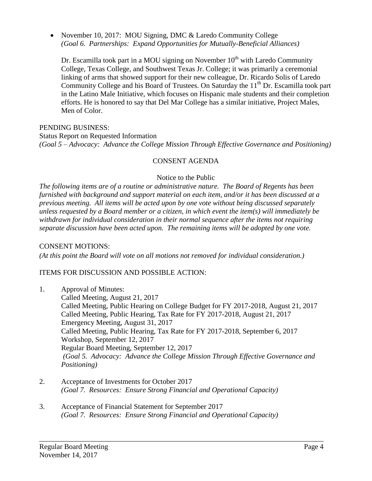• November 10, 2017: MOU Signing, DMC & Laredo Community College *(Goal 6. Partnerships: Expand Opportunities for Mutually-Beneficial Alliances)*

Dr. Escamilla took part in a MOU signing on November  $10<sup>th</sup>$  with Laredo Community College, Texas College, and Southwest Texas Jr. College; it was primarily a ceremonial linking of arms that showed support for their new colleague, Dr. Ricardo Solis of Laredo Community College and his Board of Trustees. On Saturday the  $11<sup>th</sup>$  Dr. Escamilla took part in the Latino Male Initiative, which focuses on Hispanic male students and their completion efforts. He is honored to say that Del Mar College has a similar initiative, Project Males, Men of Color.

### PENDING BUSINESS:

Status Report on Requested Information *(Goal 5 – Advocacy: Advance the College Mission Through Effective Governance and Positioning)*

# CONSENT AGENDA

#### Notice to the Public

*The following items are of a routine or administrative nature. The Board of Regents has been furnished with background and support material on each item, and/or it has been discussed at a previous meeting. All items will be acted upon by one vote without being discussed separately unless requested by a Board member or a citizen, in which event the item(s) will immediately be withdrawn for individual consideration in their normal sequence after the items not requiring separate discussion have been acted upon. The remaining items will be adopted by one vote.*

### CONSENT MOTIONS:

*(At this point the Board will vote on all motions not removed for individual consideration.)*

# ITEMS FOR DISCUSSION AND POSSIBLE ACTION:

1. Approval of Minutes: Called Meeting, August 21, 2017 Called Meeting, Public Hearing on College Budget for FY 2017-2018, August 21, 2017 Called Meeting, Public Hearing, Tax Rate for FY 2017-2018, August 21, 2017 Emergency Meeting, August 31, 2017 Called Meeting, Public Hearing, Tax Rate for FY 2017-2018, September 6, 2017 Workshop, September 12, 2017 Regular Board Meeting, September 12, 2017 *(Goal 5. Advocacy: Advance the College Mission Through Effective Governance and Positioning)*

\_\_\_\_\_\_\_\_\_\_\_\_\_\_\_\_\_\_\_\_\_\_\_\_\_\_\_\_\_\_\_\_\_\_\_\_\_\_\_\_\_\_\_\_\_\_\_\_\_\_\_\_\_\_\_\_\_\_\_\_\_\_\_\_\_\_\_\_\_\_\_\_\_\_\_\_\_\_

- 2. Acceptance of Investments for October 2017 *(Goal 7. Resources: Ensure Strong Financial and Operational Capacity)*
- 3. Acceptance of Financial Statement for September 2017 *(Goal 7. Resources: Ensure Strong Financial and Operational Capacity)*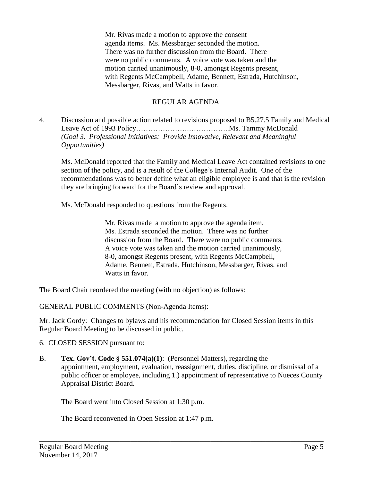Mr. Rivas made a motion to approve the consent agenda items. Ms. Messbarger seconded the motion. There was no further discussion from the Board. There were no public comments. A voice vote was taken and the motion carried unanimously, 8-0, amongst Regents present, with Regents McCampbell, Adame, Bennett, Estrada, Hutchinson, Messbarger, Rivas, and Watts in favor.

# REGULAR AGENDA

4. Discussion and possible action related to revisions proposed to B5.27.5 Family and Medical Leave Act of 1993 Policy………………….……………..Ms. Tammy McDonald *(Goal 3. Professional Initiatives: Provide Innovative, Relevant and Meaningful Opportunities)*

Ms. McDonald reported that the Family and Medical Leave Act contained revisions to one section of the policy, and is a result of the College's Internal Audit. One of the recommendations was to better define what an eligible employee is and that is the revision they are bringing forward for the Board's review and approval.

Ms. McDonald responded to questions from the Regents.

Mr. Rivas made a motion to approve the agenda item. Ms. Estrada seconded the motion. There was no further discussion from the Board. There were no public comments. A voice vote was taken and the motion carried unanimously, 8-0, amongst Regents present, with Regents McCampbell, Adame, Bennett, Estrada, Hutchinson, Messbarger, Rivas, and Watts in favor.

The Board Chair reordered the meeting (with no objection) as follows:

GENERAL PUBLIC COMMENTS (Non-Agenda Items):

Mr. Jack Gordy: Changes to bylaws and his recommendation for Closed Session items in this Regular Board Meeting to be discussed in public.

- 6. CLOSED SESSION pursuant to:
- B. **Tex. Gov't. Code § 551.074(a)(1)**: (Personnel Matters), regarding the appointment, employment, evaluation, reassignment, duties, discipline, or dismissal of a public officer or employee, including 1.) appointment of representative to Nueces County Appraisal District Board.

\_\_\_\_\_\_\_\_\_\_\_\_\_\_\_\_\_\_\_\_\_\_\_\_\_\_\_\_\_\_\_\_\_\_\_\_\_\_\_\_\_\_\_\_\_\_\_\_\_\_\_\_\_\_\_\_\_\_\_\_\_\_\_\_\_\_\_\_\_\_\_\_\_\_\_\_\_\_

The Board went into Closed Session at 1:30 p.m.

The Board reconvened in Open Session at 1:47 p.m.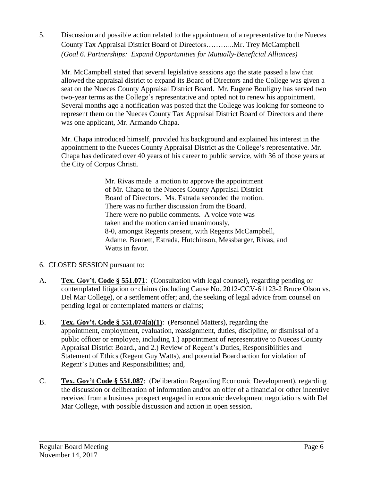5. Discussion and possible action related to the appointment of a representative to the Nueces County Tax Appraisal District Board of Directors………...Mr. Trey McCampbell *(Goal 6. Partnerships: Expand Opportunities for Mutually-Beneficial Alliances)*

Mr. McCampbell stated that several legislative sessions ago the state passed a law that allowed the appraisal district to expand its Board of Directors and the College was given a seat on the Nueces County Appraisal District Board. Mr. Eugene Bouligny has served two two-year terms as the College's representative and opted not to renew his appointment. Several months ago a notification was posted that the College was looking for someone to represent them on the Nueces County Tax Appraisal District Board of Directors and there was one applicant, Mr. Armando Chapa.

Mr. Chapa introduced himself, provided his background and explained his interest in the appointment to the Nueces County Appraisal District as the College's representative. Mr. Chapa has dedicated over 40 years of his career to public service, with 36 of those years at the City of Corpus Christi.

> Mr. Rivas made a motion to approve the appointment of Mr. Chapa to the Nueces County Appraisal District Board of Directors. Ms. Estrada seconded the motion. There was no further discussion from the Board. There were no public comments. A voice vote was taken and the motion carried unanimously, 8-0, amongst Regents present, with Regents McCampbell, Adame, Bennett, Estrada, Hutchinson, Messbarger, Rivas, and Watts in favor.

- 6. CLOSED SESSION pursuant to:
- A. **Tex. Gov't. Code § 551.071**: (Consultation with legal counsel), regarding pending or contemplated litigation or claims (including Cause No. 2012-CCV-61123-2 Bruce Olson vs. Del Mar College), or a settlement offer; and, the seeking of legal advice from counsel on pending legal or contemplated matters or claims;
- B. **Tex. Gov't. Code § 551.074(a)(1)**: (Personnel Matters), regarding the appointment, employment, evaluation, reassignment, duties, discipline, or dismissal of a public officer or employee, including 1.) appointment of representative to Nueces County Appraisal District Board., and 2.) Review of Regent's Duties, Responsibilities and Statement of Ethics (Regent Guy Watts), and potential Board action for violation of Regent's Duties and Responsibilities; and,
- C. **Tex. Gov't Code § 551.087**: (Deliberation Regarding Economic Development), regarding the discussion or deliberation of information and/or an offer of a financial or other incentive received from a business prospect engaged in economic development negotiations with Del Mar College, with possible discussion and action in open session.

\_\_\_\_\_\_\_\_\_\_\_\_\_\_\_\_\_\_\_\_\_\_\_\_\_\_\_\_\_\_\_\_\_\_\_\_\_\_\_\_\_\_\_\_\_\_\_\_\_\_\_\_\_\_\_\_\_\_\_\_\_\_\_\_\_\_\_\_\_\_\_\_\_\_\_\_\_\_